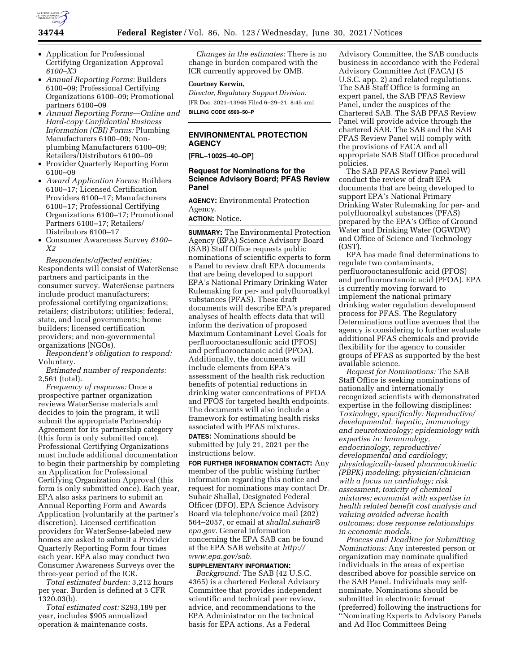

- Application for Professional Certifying Organization Approval *6100–X3*
- *Annual Reporting Forms:* Builders 6100–09; Professional Certifying Organizations 6100–09; Promotional partners 6100–09
- *Annual Reporting Forms—Online and Hard-copy Confidential Business Information (CBI) Forms:* Plumbing Manufacturers 6100–09; Nonplumbing Manufacturers 6100–09; Retailers/Distributors 6100–09
- Provider Quarterly Reporting Form 6100–09
- *Award Application Forms:* Builders 6100–17; Licensed Certification Providers 6100–17; Manufacturers 6100–17; Professional Certifying Organizations 6100–17; Promotional Partners 6100–17; Retailers/ Distributors 6100–17
- Consumer Awareness Survey *6100– X2*

*Respondents/affected entities:*  Respondents will consist of WaterSense partners and participants in the consumer survey. WaterSense partners include product manufacturers; professional certifying organizations; retailers; distributors; utilities; federal, state, and local governments; home builders; licensed certification providers; and non-governmental organizations (NGOs).

*Respondent's obligation to respond:*  Voluntary.

*Estimated number of respondents:*  2,561 (total).

*Frequency of response:* Once a prospective partner organization reviews WaterSense materials and decides to join the program, it will submit the appropriate Partnership Agreement for its partnership category (this form is only submitted once). Professional Certifying Organizations must include additional documentation to begin their partnership by completing an Application for Professional Certifying Organization Approval (this form is only submitted once). Each year, EPA also asks partners to submit an Annual Reporting Form and Awards Application (voluntarily at the partner's discretion). Licensed certification providers for WaterSense-labeled new homes are asked to submit a Provider Quarterly Reporting Form four times each year. EPA also may conduct two Consumer Awareness Surveys over the three-year period of the ICR.

*Total estimated burden:* 3,212 hours per year. Burden is defined at 5 CFR 1320.03(b).

*Total estimated cost:* \$293,189 per year, includes \$905 annualized operation & maintenance costs.

*Changes in the estimates:* There is no change in burden compared with the ICR currently approved by OMB.

# **Courtney Kerwin,**

*Director, Regulatory Support Division.*  [FR Doc. 2021–13946 Filed 6–29–21; 8:45 am] **BILLING CODE 6560–50–P** 

# **ENVIRONMENTAL PROTECTION AGENCY**

**[FRL–10025–40–OP]** 

## **Request for Nominations for the Science Advisory Board; PFAS Review Panel**

**AGENCY:** Environmental Protection Agency.

# **ACTION:** Notice.

**SUMMARY:** The Environmental Protection Agency (EPA) Science Advisory Board (SAB) Staff Office requests public nominations of scientific experts to form a Panel to review draft EPA documents that are being developed to support EPA's National Primary Drinking Water Rulemaking for per- and polyfluoroalkyl substances (PFAS). These draft documents will describe EPA's prepared analyses of health effects data that will inform the derivation of proposed Maximum Contaminant Level Goals for perfluorooctanesulfonic acid (PFOS) and perfluorooctanoic acid (PFOA). Additionally, the documents will include elements from EPA's assessment of the health risk reduction benefits of potential reductions in drinking water concentrations of PFOA and PFOS for targeted health endpoints. The documents will also include a framework for estimating health risks associated with PFAS mixtures. **DATES:** Nominations should be

submitted by July 21, 2021 per the instructions below.

**FOR FURTHER INFORMATION CONTACT:** Any member of the public wishing further information regarding this notice and request for nominations may contact Dr. Suhair Shallal, Designated Federal Officer (DFO), EPA Science Advisory Board via telephone/voice mail (202) 564–2057, or email at *[shallal.suhair@](mailto:shallal.suhair@epa.gov) [epa.gov.](mailto:shallal.suhair@epa.gov)* General information concerning the EPA SAB can be found at the EPA SAB website at *[http://](http://www.epa.gov/sab) [www.epa.gov/sab.](http://www.epa.gov/sab)* 

### **SUPPLEMENTARY INFORMATION:**

*Background:* The SAB (42 U.S.C. 4365) is a chartered Federal Advisory Committee that provides independent scientific and technical peer review, advice, and recommendations to the EPA Administrator on the technical basis for EPA actions. As a Federal

Advisory Committee, the SAB conducts business in accordance with the Federal Advisory Committee Act (FACA) (5 U.S.C. app. 2) and related regulations. The SAB Staff Office is forming an expert panel, the SAB PFAS Review Panel, under the auspices of the Chartered SAB. The SAB PFAS Review Panel will provide advice through the chartered SAB. The SAB and the SAB PFAS Review Panel will comply with the provisions of FACA and all appropriate SAB Staff Office procedural policies.

The SAB PFAS Review Panel will conduct the review of draft EPA documents that are being developed to support EPA's National Primary Drinking Water Rulemaking for per- and polyfluoroalkyl substances (PFAS) prepared by the EPA's Office of Ground Water and Drinking Water (OGWDW) and Office of Science and Technology (OST).

EPA has made final determinations to regulate two contaminants, perfluorooctanesulfonic acid (PFOS) and perfluorooctanoic acid (PFOA). EPA is currently moving forward to implement the national primary drinking water regulation development process for PFAS. The Regulatory Determinations outline avenues that the agency is considering to further evaluate additional PFAS chemicals and provide flexibility for the agency to consider groups of PFAS as supported by the best available science.

*Request for Nominations:* The SAB Staff Office is seeking nominations of nationally and internationally recognized scientists with demonstrated expertise in the following disciplines: *Toxicology, specifically: Reproductive/ developmental, hepatic, immunology and neurotoxicology; epidemiology with expertise in: Immunology, endocrinology, reproductive/ developmental and cardiology; physiologically-based pharmacokinetic (PBPK) modeling; physician/clinician with a focus on cardiology; risk assessment; toxicity of chemical mixtures; economist with expertise in health related benefit cost analysis and valuing avoided adverse health outcomes; dose response relationships in economic models.* 

*Process and Deadline for Submitting Nominations:* Any interested person or organization may nominate qualified individuals in the areas of expertise described above for possible service on the SAB Panel. Individuals may selfnominate. Nominations should be submitted in electronic format (preferred) following the instructions for ''Nominating Experts to Advisory Panels and Ad Hoc Committees Being